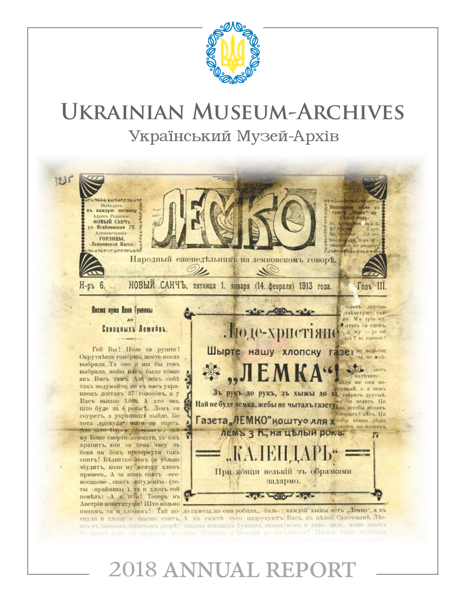

# **Ukrainian Museum-Archives** Український Музей-Архів



# 2018 ANNUAL REPORT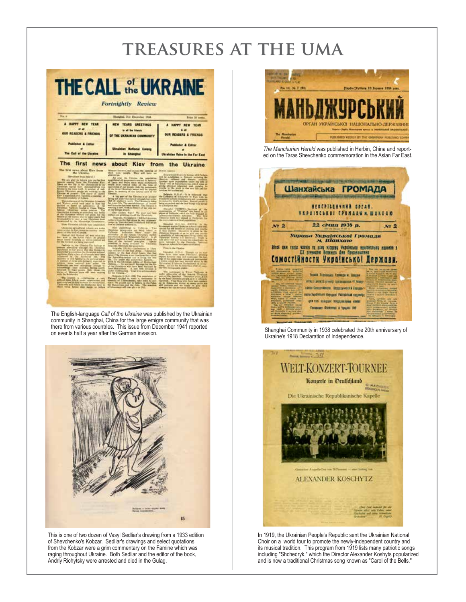# **treasures at the uma**

| <b>THE CALL of JKRAINE</b><br>Fortnightly Review                                                                                                                                                                                                                                                                                                                                            |                                                                                                                                                                                                                                                                                                                                                                                                                                                                                                                                                                                                                                                                  |                                                                                                                                                                                                                                                                                                                                                                                                                                                               |  |  |  |  |
|---------------------------------------------------------------------------------------------------------------------------------------------------------------------------------------------------------------------------------------------------------------------------------------------------------------------------------------------------------------------------------------------|------------------------------------------------------------------------------------------------------------------------------------------------------------------------------------------------------------------------------------------------------------------------------------------------------------------------------------------------------------------------------------------------------------------------------------------------------------------------------------------------------------------------------------------------------------------------------------------------------------------------------------------------------------------|---------------------------------------------------------------------------------------------------------------------------------------------------------------------------------------------------------------------------------------------------------------------------------------------------------------------------------------------------------------------------------------------------------------------------------------------------------------|--|--|--|--|
| Na. a                                                                                                                                                                                                                                                                                                                                                                                       | Shanghai, 31st December 1941.                                                                                                                                                                                                                                                                                                                                                                                                                                                                                                                                                                                                                                    | Frisa 50 coma                                                                                                                                                                                                                                                                                                                                                                                                                                                 |  |  |  |  |
| <b>HAPPY NEW TEAM</b><br><b>AL AD</b><br><b>OUR READERS &amp; FRIENDS</b>                                                                                                                                                                                                                                                                                                                   | NEW YEARS GREETINGS<br>to all the Utanza<br>OF THE UKRAINIAN COMMUNITY                                                                                                                                                                                                                                                                                                                                                                                                                                                                                                                                                                                           | <b>HAPPY NEW YEAR</b><br><b>OUR READERS &amp; FRIENDS</b>                                                                                                                                                                                                                                                                                                                                                                                                     |  |  |  |  |
| <b>Publisher &amp; Editor</b><br>The Call of the Ukraine                                                                                                                                                                                                                                                                                                                                    | <b>Winsinian National Colong</b><br>in Shanghai                                                                                                                                                                                                                                                                                                                                                                                                                                                                                                                                                                                                                  | <b>Publisher &amp; Editor</b><br>Ukrainian Vuice in the Far East                                                                                                                                                                                                                                                                                                                                                                                              |  |  |  |  |
| Source: Elizabeth program and working to the<br>Continue of program the monotor counter of<br>circles economy of ficience.<br><b>PERSIE</b><br>Assessed for the starting of public fields has bandled<br>of the fillmomer wrongly and grants that the<br>Senator of the state who for their place has                                                                                       | of the Covar Ukrainian betties with he arguited<br>there it monote of the lances uses at the<br><b>Chrame</b><br>A big part of the Christian is at invested<br>Driving the month of the first of the Company of the Company of the Company of the Company of the Company of the Company of the Company of the Company of the Company of the Company of the Company of the Company of the Comp<br>and factories has been maried. The filtrains is<br>starting a bow, with he looks had bee your test<br>of the firmin's policie.<br>Our College Stat Wa well ask hope<br>Relatedio, Networkers in AD Hat Elevation<br>witness from the Red Army in war princess's | Total " will be finest likers has, which miss on<br>grams physical atlantant and making in<br>orches Hd mollesiand<br>Selgende 13,11-11 - It is interest that<br>words for artistic problems and processing<br>latest or pleased and the jobb fillerity was moved<br>to a postprive way.<br>Statuted (NESPH)-Samuel of the<br>present buildings, which are field engaged in<br>breating and wer sensed in Pentycker the<br>the commission of bood population. |  |  |  |  |
| New Ukrainies schools were adultiched.<br>Ubscores spingford inhier air asks<br>phony of this hold of packet the namely model<br>Herital Atl Holton all not take this<br>level or the Sover Velon At present<br>the mothers are being organized.<br>Partinia in the Cheshop The Serious at<br>are inputed private server<br><b>Uklain</b><br>parameters in fine prices that the fielders in | maps in Vatesbot and to statute of he lat-<br>first by Cartanes authorities.<br>New paintings is Volume - Two<br>Okalisie Tychotre of Min Idea<br><b>She</b><br>advantor of the lyness Occurry suffer<br>minorin reaching a being conducted using the<br>liam of the railroad<br>president.<br><b>Diplomatical</b><br>infection is letted attached<br>to Clynamic<br>Implies. Darature and governishes<br>to grabs 2.0 di-Tachenine to Ukra<br>ous military in the Red Army. The first                                                                                                                                                                           | Skoughai LLULIAL AUTOTA<br>14<br>-<br>Kristevan kratra libratolon schools base basi<br>special for the benefit of criticism and yourlie<br>is that Subtit. Executive is given in the<br><b>Service State</b><br>more managed by the Pennsion of<br><b>Network</b><br>Please in the Chronical<br>Honghai 1511-01 Though to be not                                                                                                                              |  |  |  |  |
| <b>REVIEWS</b><br><b>Published</b><br>Were retorned from author<br><b>The</b><br>Birthories and one contraining amount to<br>acknowledge their morning daring open.<br>Mission, Sale 450 hash \$5,000g<br><b>Allerian col-</b><br>with the Boldwrides<br>The country is retentioning a rate<br>anti-on tons Life is now contributed and                                                     | America The Literature in our Free-House that track of<br>Die Jewie Mississippiese aus in Artog fein Die<br>Go asker the police that<br><b>ING.</b><br>life. On yother the public ties bettern<br>Cheron, Cornel Merid Revenue for the file<br>Jess Mountain<br>A new free Ulvaice is<br>ploter countries/log. Total lines are exceeding<br>for the Universe.<br>ENGINE                                                                                                                                                                                                                                                                                          | there have been word birranted pressing<br>ings of the enderstand plends and permanent<br>a plateau which has been beyond where for the<br>Mirrorwing B Internet Contributed of series<br>alter).<br>As loo for the Host tissuelless 25 years<br>plat Since relationship system.<br>The personal of New Yorkers &<br><u>the first of the contract</u><br>and partners and are verdy to give them                                                              |  |  |  |  |

The English-language *Call of the Ukraine* was published by the Ukrainian community in Shanghai, China for the large emigre community that was there from various countries. This issue from December 1941 reported on events half a year after the German invasion.



This is one of two dozen of Vasyl Sedliar's drawing from a 1933 edition of Shevchenko's Kobzar. Sedliar's drawings and select quotations from the Kobzar were a grim commentary on the Famine which was raging throughout Ukraine. Both Sedliar and the editor of the book, Andriy Richytsky were arrested and died in the Gulag.



*The Manchurian Herald* was published in Harbin, China and reported on the Taras Shevchenko commemoration in the Asian Far East.



Shanghai Community in 1938 celebrated the 20th anniversary of Ukraine's 1918 Declaration of Independence.



In 1919, the Ukrainian People's Republic sent the Ukrainian National Choir on a world tour to promote the newly-independent country and its musical tradition. This program from 1919 lists many patriotic songs including "Shchedryk," which the Director Alexander Koshyts popularized and is now a traditional Christmas song known as "Carol of the Bells."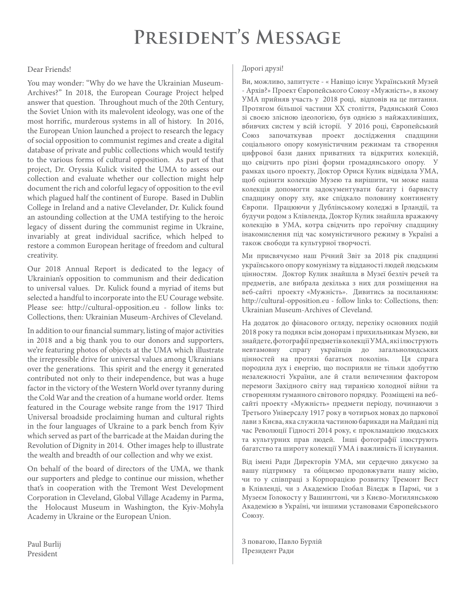# **President's Message**

### Dear Friends!

You may wonder: "Why do we have the Ukrainian Museum-Archives?" In 2018, the European Courage Project helped answer that question. Throughout much of the 20th Century, the Soviet Union with its malevolent ideology, was one of the most horrific, murderous systems in all of history. In 2016, the European Union launched a project to research the legacy of social opposition to communist regimes and create a digital database of private and public collections which would testify to the various forms of cultural opposition. As part of that project, Dr. Oryssia Kulick visited the UMA to assess our collection and evaluate whether our collection might help document the rich and colorful legacy of opposition to the evil which plagued half the continent of Europe. Based in Dublin College in Ireland and a native Clevelander, Dr. Kulick found an astounding collection at the UMA testifying to the heroic legacy of dissent during the communist regime in Ukraine, invariably at great individual sacrifice, which helped to restore a common European heritage of freedom and cultural creativity.

Our 2018 Annual Report is dedicated to the legacy of Ukrainian's opposition to communism and their dedication to universal values. Dr. Kulick found a myriad of items but selected a handful to incorporate into the EU Courage website. Please see: http://cultural-opposition.eu - follow links to: Collections, then: Ukrainian Museum-Archives of Cleveland.

In addition to our financial summary, listing of major activities in 2018 and a big thank you to our donors and supporters, we're featuring photos of objects at the UMA which illustrate the irrepressible drive for universal values among Ukrainians over the generations. This spirit and the energy it generated contributed not only to their independence, but was a huge factor in the victory of the Western World over tyranny during the Cold War and the creation of a humane world order. Items featured in the Courage website range from the 1917 Third Universal broadside proclaiming human and cultural rights in the four languages of Ukraine to a park bench from Kyiv which served as part of the barricade at the Maidan during the Revolution of Dignity in 2014. Other images help to illustrate the wealth and breadth of our collection and why we exist.

On behalf of the board of directors of the UMA, we thank our supporters and pledge to continue our mission, whether that's in cooperation with the Tremont West Development Corporation in Cleveland, Global Village Academy in Parma, the Holocaust Museum in Washington, the Kyiv-Mohyla Academy in Ukraine or the European Union.

Paul Burlij President

#### Дорогі друзі!

Ви, можливо, запитуєте - « Навіщо існує Український Музей - Архів?» Проект Європейського Союзу «Мужність», в якому УМА прийняв участь у 2018 році, відповів на це питання. Протягом більшої частини ХХ століття, Радянський Союз зі своєю злісною ідеологією, був однією з найжахливіших, вбивчих систем у всій історії. У 2016 році, Європейський Союз започаткував проект дослідження спадщини соціального опору комуністичним режимам та створення цифрової бази даних приватних та відкритих колекцій, що свідчить про різні форми громадянського опору. У рамках цього проекту, Доктор Орися Кулик відвідала УМА, щоб оцінити колекцію Музею та вирішити, чи може наша колекція допомогти задокументувати багату і барвисту спадщину опору злу, яке спідкало половину континенту Європи. Працюючи у Дублінському коледжі в Ірландії, та будучи родом з Клівленда, Доктор Кулик знайшла вражаючу колекцію в УМА, котра свідчить про героїчну спадщину інакомислення під час комуністичного режиму в Україні а також свободи та культурної творчості.

Ми присвячуємо наш Річний Звіт за 2018 рік спадщині українського опору комунізму та відданості людей людським цінностям. Доктор Кулик знайшла в Музеї безліч речей та предметів, але вибрала декілька з них для розміщення на веб-сайті проекту «Мужність». Дивитись за посиланням: http://cultural-opposition.eu - follow links to: Collections, then: Ukrainian Museum-Archives of Cleveland.

На додаток до фінасового огляду, переліку основних подій 2018 року та подяки всім донорам і прихильникам Музею, ви знайдете, фотографії предметів колекції УМА, які ілюструють невтамовну спрагу українців до загальнолюдських цінностей на протязі багатьох поколінь. Ця спрага породила дух і енергію, що посприяли не тільки здобуттю незалежності України, але й стали величезним фактором перемоги Західного світу над тиранією холодної війни та створенням гуманного світового порядку. Розміщені на вебсайті проекту «Мужність» предмети періоду, починаючи з Третього Універсалу 1917 року в чотирьох мовах до паркової лави з Києва, яка служила частиною барикади на Майдані під час Революції Гідності 2014 року, є прокламацією людських та культурних прав людей. Інші фотографії ілюструють багатство та широту колекції УМА і важливість її існування.

Від імені Ради Директорів УМА, ми сердечно дякуємо за вашу підтримку та обіцяємо продовжувати нашу місію, чи то у співпраці з Корпорацією розвитку Тремонт Вест в Клівленді, чи з Академією Глобал Віледж в Пармі, чи з Музеєм Голокосту у Вашингтоні, чи з Києво-Могилянською Академією в Україні, чи іншими установами Європейського Союзу.

З повагою, Павло Бурлій Президент Ради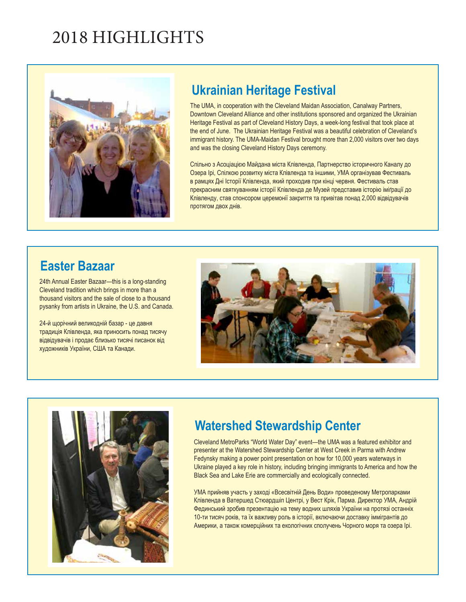# 2018 HIGHLIGHTS



## **Ukrainian Heritage Festival**

The UMA, in cooperation with the Cleveland Maidan Association, Canalway Partners, Downtown Cleveland Alliance and other institutions sponsored and organized the Ukrainian Heritage Festival as part of Cleveland History Days, a week-long festival that took place at the end of June. The Ukrainian Heritage Festival was a beautiful celebration of Cleveland's immigrant history. The UMA-Maidan Festival brought more than 2,000 visitors over two days and was the closing Cleveland History Days ceremony.

Спільно з Асоціацією Майдана міста Клівленда, Партнерство історичного Каналу до Озера Ірі, Спілкою розвитку міста Клівлендa та іншими, УМА організував Фестиваль в рамцях Дні Історії Клівленда, який проходив при кінці червня. Фестиваль став прекрасним святкуванням історії Клівленда де Музей представив історію іміґрації до Клівленду, став спонсором церемонії закриття та привітав понад 2,000 відвідувачів протягом двох днів.

## **Easter Bazaar**

24th Annual Easter Bazaar—this is a long-standing Cleveland tradition which brings in more than a thousand visitors and the sale of close to a thousand pysanky from artists in Ukraine, the U.S. and Canada.

24-й щорічний великодній базар - це давня традиція Клівленда, яка приносить понад тисячу відвідувачів і продає близько тисячі писанок від художників України, США та Канади.





## **Watershed Stewardship Center**

Cleveland MetroParks "World Water Day" event—the UMA was a featured exhibitor and presenter at the Watershed Stewardship Center at West Creek in Parma with Andrew Fedynsky making a power point presentation on how for 10,000 years waterways in Ukraine played a key role in history, including bringing immigrants to America and how the Black Sea and Lake Erie are commercially and ecologically connected.

УМА прийняв участь у заході «Всесвітній День Води» проведеному Метропарками Клівленда в Ватершед Стюардшіп Центрі, у Вест Крік, Парма. Директор УМА, Андрій Фединський зробив презентацію на тему водних шляхів України на протязі останніх 10-ти тисяч років, та їх важливу роль в історії, включаючи доставку іммігрантів до Америки, а також комерційних та екологічних сполучень Чорного моря та озера Ірі.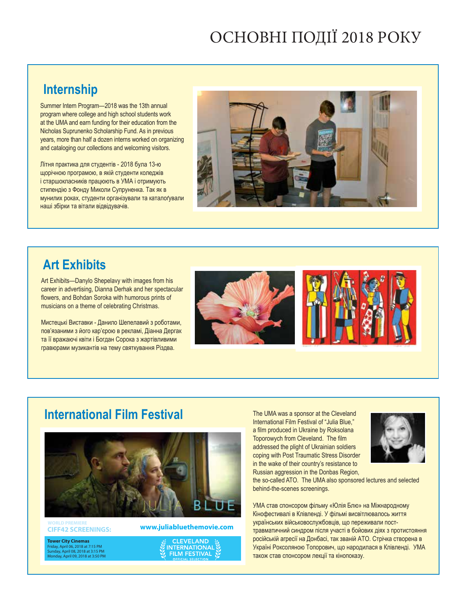# ОСНОВНІ ПОДІЇ 2018 РОКУ

## **Internship**

Summer Intern Program—2018 was the 13th annual program where college and high school students work at the UMA and earn funding for their education from the Nicholas Suprunenko Scholarship Fund. As in previous years, more than half a dozen interns worked on organizing and cataloging our collections and welcoming visitors.

Літня практика для студентів - 2018 була 13-ю щорічною програмою, в якій студенти коледжів і старшокласників працюють в УМА і отримують стипендію з Фонду Миколи Супруненка. Так як в мунилих роках, студенти організували та каталоґували наші збірки та вітали відвідувачів.



## **Art Exhibits**

Art Exhibits—Danylo Shepelavy with images from his career in advertising, Dianna Derhak and her spectacular flowers, and Bohdan Soroka with humorous prints of musicians on a theme of celebrating Christmas.

Мистецькі Виставки - Данило Шепелавий з роботами, пов'язаними з його кар'єрою в рекламі, Діанна Дергак та її вражаючі квіти і Богдан Сорока з жартівливими гравюрами музикантів на тему святкування Різдва.



*enjoy holiday music and* 

*your tree and, of course,* 



*Bohdan Soroka*

## **International Film Festival**



**CIFF42 SCREENINGS:**

**Tower City Cinemas** Friday, April 06, 2018 at 7:15 PM Sunday, April 08, 2018 at 3:15 PM Monday, April 09, 2018 at 3:50 PM **www.juliabluethemovie.com**

**CLEVELAND NTERNATIONAL FILM FESTIVAL** 

The UMA was a sponsor at the Cleveland International Film Festival of "Julia Blue," a film produced in Ukraine by Roksolana Toporowych from Cleveland. The film addressed the plight of Ukrainian soldiers coping with Post Traumatic Stress Disorder in the wake of their country's resistance to Russian aggression in the Donbas Region,



the so-called ATO. The UMA also sponsored lectures and selected behind-the-scenes screenings.

УМА став спонсором фільму «Юлія Блю» на Міжнародному Кінофестивалі в Клівленді. У фільмі висвітлювалось життя українських військовослужбовців, що переживали посттравматичний синдром після участі в бойових діях з протистояння російській агресії на Донбасі, так званій АТО. Стрічка створена в Україні Роксоляною Топорович, що народилася в Клівленді. УМА також став спонсором лекції та кінопоказу.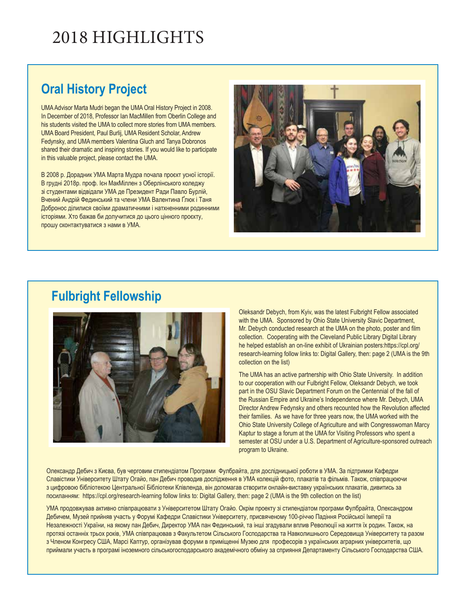# 2018 HIGHLIGHTS

## **Oral History Project**

UMA Advisor Marta Mudri began the UMA Oral History Project in 2008. In December of 2018, Professor Ian MacMillen from Oberlin College and his students visited the UMA to collect more stories from UMA members. UMA Board President, Paul Burlij, UMA Resident Scholar, Andrew Fedynsky, and UMA members Valentina Gluch and Tanya Dobronos shared their dramatic and inspiring stories. If you would like to participate in this valuable project, please contact the UMA.

В 2008 р. Дорадник УМА Марта Мудра почала проєкт усної історії. В грудні 2018р. проф. Ієн МакМіллен з Оберлінського коледжу зі студентами відвідали УМА де Президент Ради Павло Бурлій, Вчений Андрій Фединський та члени УМА Валентина Ґлюк і Таня Добронос ділилися своїми драматичними і натхненними родинними історіями. Хто бажав би долучитися до цього цінного проєкту, прошу сконтактуватися з нами в УМА.



### **Fulbright Fellowship**



Oleksandr Debych, from Kyiv, was the latest Fulbright Fellow associated with the UMA. Sponsored by Ohio State University Slavic Department, Mr. Debych conducted research at the UMA on the photo, poster and film collection. Cooperating with the Cleveland Public Library Digital Library he helped establish an on-line exhibit of Ukrainian posters:https://cpl.org/ research-learning follow links to: Digital Gallery, then: page 2 (UMA is the 9th collection on the list)

The UMA has an active partnership with Ohio State University. In addition to our cooperation with our Fulbright Fellow, Oleksandr Debych, we took part in the OSU Slavic Department Forum on the Centennial of the fall of the Russian Empire and Ukraine's Independence where Mr. Debych, UMA Director Andrew Fedynsky and others recounted how the Revolution affected their families. As we have for three years now, the UMA worked with the Ohio State University College of Agriculture and with Congresswoman Marcy Kaptur to stage a forum at the UMA for Visiting Professors who spent a semester at OSU under a U.S. Department of Agriculture-sponsored outreach program to Ukraine.

Олександр Дебич з Києва, був черговим стипендіатом Програми Фулбрайта, для дослідницької роботи в УМА. За підтримки Кафедри Славістики Університету Штату Огайо, пан Дебич проводив дослідження в УМА колекцій фото, плакатів та фільмів. Також, співпрацюючи з цифровою бібліотекою Центральної Бібліотеки Клівленда, він допомагав створити онлайн-виставку українських плакатів, дивитись за посиланням: https://cpl.org/research-learning follow links to: Digital Gallery, then: page 2 (UMA is the 9th collection on the list)

УМА продовжував активно співпрацювати з Університетом Штату Огайо. Окрім проекту зі стипендіатом програми Фулбрайта, Олександром Дебичем, Музей прийняв участь у Форумі Кафедри Славістики Університету, присвяченому 100-річчю Падіння Російської Імперії та Незалежності України, на якому пан Дебич, Директор УМА пан Фединський, та інші згадували вплив Революції на життя їх родин. Також, на протязі останніх трьох років, УМА співпрацював з Факультетом Сільського Господарства та Навколишнього Середовища Університету та разом з Членом Конгресу США, Марсі Каптур, організував форуми в приміщенні Музею для професорів з українських аграрних університетів, що приймали участь в програмі іноземного сільськогосподарського академічного обміну за сприяння Департаменту Сільського Господарства США.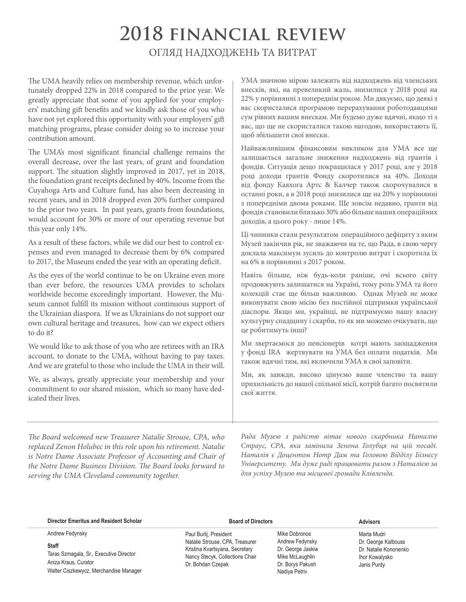# **2018 financial review** ОГЛЯД НАДХОДЖЕНЬ ТА ВИТРАТ

The UMA heavily relies on membership revenue, which unfortunately dropped 22% in 2018 compared to the prior year. We greatly appreciate that some of you applied for your employers' matching gift benefits and we kindly ask those of you who have not yet explored this opportunity with your employers' gift matching programs, please consider doing so to increase your contribution amount.

The UMA's most significant financial challenge remains the overall decrease, over the last years, of grant and foundation support. The situation slightly improved in 2017, yet in 2018, the foundation grant receipts declined by 40%. Income from the Cuyahoga Arts and Culture fund, has also been decreasing in recent years, and in 2018 dropped even 20% further compared to the prior two years. In past years, grants from foundations, would account for 30% or more of our operating revenue but this year only 14%.

As a result of these factors, while we did our best to control expenses and even managed to decrease them by 6% compared to 2017, the Museum ended the year with an operating deficit.

As the eyes of the world continue to be on Ukraine even more than ever before, the resources UMA provides to scholars worldwide become exceedingly important. However, the Museum cannot fulfill its mission without continuous support of the Ukrainian diaspora. If we as Ukrainians do not support our own cultural heritage and treasures, how can we expect others to do it?

We would like to ask those of you who are retirees with an IRA account, to donate to the UMA, without having to pay taxes. And we are grateful to those who include the UMA in their will.

We, as always, greatly appreciate your membership and your commitment to our shared mission, which so many have dedicated their lives.

УМА значною мірою залежить від надходжень від членських внесків, які, на превеликий жаль, знизилися у 2018 році на 22% у порівнянні з попереднім роком. Ми дякуємо, що деякі з вас скористалися програмою перерахування роботодавцями сум рівних вашим внескам. Ми будемо дуже вдячні, якщо ті з вас, що ще не скористалися такою нагодою, використають її, щоб збільшити свої внески.

Найважливішим фінансовим викликом для УМА все ще залишається загальне зниження надходжень від грантів і фондів. Ситуація дещо покращилася у 2017 році, але у 2018 році доходи грантів Фонду скоротилися на 40%. Доходи від фонду Каяхога Артс & Калчер також скорочувалися в останні роки, а в 2018 році знизилися ще на 20% у порівнянні з попередніми двома роками. Ще зовсім недавно, гранти від фондів становили близько 30% або більше наших операційних доходів, а цього року - лише 14%.

Ці чинники стали результатом операційного дефіциту з яким Музей закінчив рік, не зважаючи на те, що Рада, в свою чергу доклала максимум зусиль до контролю витрат і скоротила їх на 6% в порівнянні з 2017 роком.

Навіть більше, ніж будь-коли раніше, очі всього світу продовжують залишатися на Україні, тому роль УМА та його колекцій стає ще більш важливою. Однак Музей не може виконувати свою місію без постійної підтримки української діаспори. Якщо ми, українці, не підтримуємо нашу власну культурну спадщину і скарби, то як ми можемо очікувати, що це робитимуть інші?

Ми звертаємося до пенсіонерів котрі мають заощадження у фонді IRA жертвувати на УМА без оплати податків. Ми також вдячні тим, які включили УМА в свої заповіти.

Ми, як завжди, високо цінуємо ваше членство та вашу прихильність до нашої спільної місії, котрій багато посвятили свої життя.

*The Board welcomed new Treasurer Natalie Strouse, CPA, who replaced Zenon Holubec in this role upon his retirement. Natalie is Notre Dame Associate Professor of Accounting and Chair of the Notre Dame Business Division. The Board looks forward to serving the UMA Cleveland community together.* 

*Рада Музею з радістю вітає нового скарбника Наталію Страус, CPA, яка замінила Зенона Голубця на цій посаді. Наталія є Доцентом Нотр Дам та Головою Відділу Бізнесу Університету. Ми дуже раді працювати разом з Наталією за для успіху Музею та місцевої громади Клівленда.* 

#### **Director Emeritus and Resident Scholar**

Andrew Fedynsky

**Staff**

Taras Szmagala, Sr., Executive Director Aniza Kraus, Curator Walter Ciszkewycz, Merchandise Manager

#### **Board of Directors**

Paul Burlij, President Natalie Strouse, CPA, Treasurer Kristina Kvartsyana, Secretary Nancy Stecyk, Collections Chair Dr. Bohdan Czepak

Mike Dobronos Andrew Fedynsky Dr. George Jaskiw Mike McLaughlin Dr. Borys Pakush Nadiya Petriv

#### **Advisors**

Marta Mudri Dr. George Kalbouss Dr. Natalie Kononenko Ihor Kowalysko Janis Purdy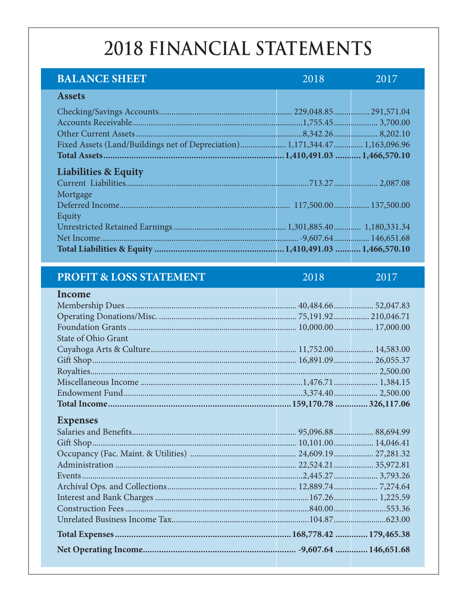# 2018 FINANCIAL STATEMENTS

| <b>BALANCE SHEET</b>                                                        | 2018 | 2017 |
|-----------------------------------------------------------------------------|------|------|
| <b>Assets</b>                                                               |      |      |
|                                                                             |      |      |
|                                                                             |      |      |
|                                                                             |      |      |
| Fixed Assets (Land/Buildings net of Depreciation) 1,171,344.47 1,163,096.96 |      |      |
|                                                                             |      |      |
| <b>Liabilities &amp; Equity</b>                                             |      |      |
|                                                                             |      |      |
| Mortgage                                                                    |      |      |
|                                                                             |      |      |
| Equity                                                                      |      |      |
|                                                                             |      |      |
|                                                                             |      |      |
|                                                                             |      |      |
|                                                                             |      |      |
| <b>PROFIT &amp; LOSS STATEMENT</b>                                          | 2018 | 2017 |
| <b>Income</b>                                                               |      |      |
|                                                                             |      |      |
|                                                                             |      |      |
|                                                                             |      |      |
| State of Ohio Grant                                                         |      |      |

### **Expenses**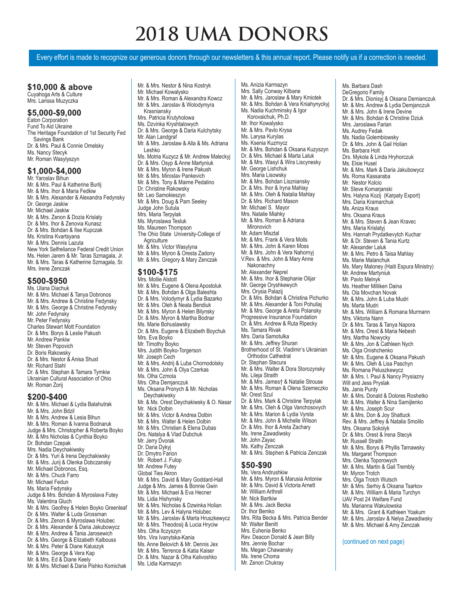# **2018 UMA DONORS**

Every effort is made to recognize our generous donors through our newsletters & this annual report. Please notify us if a correction is needed.

#### **\$10,000 & above**  Cuyahoga Arts & Culture

Mrs. Larissa Muzyczka

### **\$5,000-\$9,000**

Eaton Corporation Fund To Aid Ukraine The Heritage Foundation of 1st Security Fed Savings Bank Dr. & Mrs. Paul & Connie Omelsky Ms. Nancy Stecyk Mr. Roman Wasylyszyn

### **\$1,000-\$4,000**

Mr. Yaroslav Bihun Mr. & Mrs. Paul & Katherine Burlij Mr. & Mrs. Ihor & Maria Fedkiw Mr. & Mrs. Alexander & Alexandra Fedynsky Dr. George Jaskiw Mr. Michael Jaskiw Mr. & Mrs. Zenon & Dozia Krislaty Dr. & Mrs. Ihor & Zenovia Kunasz Dr. & Mrs. Bohdan & Ilse Kupczak Ms. Kristina Kvartsyana Mr. & Mrs. Dennis Lazuta New York Selfreliance Federal Credit Union Ms. Helen Jarem & Mr. Taras Szmagala, Jr. Mr. & Mrs. Taras & Katherine Szmagala, Sr. Mrs. Irene Zenczak

### **\$500-\$950**

Ms. Ulana Diachuk Mr. & Mrs. Michael & Tanya Dobronos Mr. & Mrs. Andrew & Christine Fedynsky Mr. & Mrs. George & Christine Fedynsky Mr. John Fedynsky Mr. Peter Fedynsky Charles Stewart Mott Foundation Dr. & Mrs. Borys & Leslie Pakush Mr. Andrew Pankiw Mr. Steven Popovich Dr. Boris Rakowsky Dr. & Mrs. Nestor & Anisa Shust Mr. Richard Stahl Dr. & Mrs. Stephan & Tamara Tymkiw Ukrainian Cultural Association of Ohio Mr. Roman Zorij

 **\$200-\$400**  Mr. & Mrs. Michael & Lydia Balahutrak Mr. & Mrs. John Bdzil Mr. & Mrs. Andrew & Lesia Bihun Mr. & Mrs. Roman & Ivanna Bodnaruk Judge & Mrs. Christopher & Roberta Boyko Mr. & Mrs Nicholas & Cynthia Boyko Dr. Bohdan Czepak Mrs. Nadia Deychakiwsky Dr. & Mrs. Yuri & Irena Deychakiwsky Mr. & Mrs. Jurij & Olenka Dobczansky Mr. Michael Dobronos, Esq. Mr. & Mrs. Chuck Farro Mr. Michael Fedun Ms. Maria Fedynsky Judge & Mrs. Bohdan & Myroslava Futey Ms. Valentina Gluch Mr. & Mrs. Geofrey & Helen Boyko Greenleaf Dr. & Mrs. Walter & Luda Grossman Dr. & Mrs. Zenon & Myroslawa Holubec Dr. & Mrs. Alexander & Daria Jakubowycz Mr. & Mrs. Andrew & Tania Jarosewich Dr. & Mrs. George & Elizabeth Kalbouss Mr. & Mrs. Peter & Diane Kaluszyk Mr. & Mrs. George & Vera Kap Mr. & Mrs. Ed & Diane Keely

Mr. & Mrs. Michael & Daria Pishko Komichak

Mr. & Mrs. Nestor & Nina Kostryk Mr. Michael Kowalysko Mr. & Mrs. Roman & Alexandra Kowcz Mr. & Mrs. Jaroslav & Wolodymyra Krasniansky Mrs. Patricia Krutyholowa Ms. Dzvinka Kryshtalowych Dr. & Mrs. George & Daria Kulchytsky Mr. Alan Landgraf Mr. & Mrs. Jaroslaw & Alla & Ms. Adriana Leshko Ms. Motria Kuzycz & Mr. Andrew Maleckyj Dr. & Mrs. Osyp & Anne Martyniuk Mr. & Mrs. Myron & Irene Pakush Mr. & Mrs. Miroslav Pankevich Mr. & Mrs. Tony & Maime Pedalino Dr. Christine Rakowsky Mr. Leo Samokieszyn Mr. & Mrs. Doug & Pam Seeley Judge John Sutula Mrs. Maria Terpylak Ms. Myroslawa Tesluk Ms. Maureen Thompson The Ohio State University-College of **Agriculture** Mr. & Mrs. Victor Wasylyna Mr. & Mrs. Myron & Oresta Zadony Mr. & Mrs. Gregory & Mary Zenczak **\$100-\$175**  Mrs. Mollie Alstott

Mr. & Mrs. Eugene & Olena Apostoluk Mr. & Mrs. Bohdan & Olga Baleshta Dr. & Mrs. Volodymyr & Lydia Bazarko Mr. & Mrs. Oleh & Neala Bendiuk Mr. & Mrs. Myron & Helen Bilynsky Dr. & Mrs. Myron & Martha Bodnar Ms. Marie Bohuslawsky Dr. & Mrs. Eugene & Elizabeth Boychuk Mrs. Eva Boyko Mr. Timothy Boyko Mrs. Judith Boyko-Torgerson Mr. Joseph Cech Mr. & Mrs. Andrij & Luba Chornodolsky Mr. & Mrs. John & Olya Czerkas Ms. Olha Czmola Mrs. Olha Demjanczuk Ms. Oksana Pronych & Mr. Nicholas Deychakiwsky Mr. & Ms. Orest Deychakiwsky & O. Nasar Mr. Nick Dolbin Mr. & Mrs. Victor & Andrea Dolbin Mr. & Mrs. Walter & Helen Dolbin Mr. & Mrs. Christian & Elena Dubas Drs. Natalya & Vlad Dubchuk Mr. Jerry Dvorak Dr. Daria Dykyj Dr. Dmytro Farion Mr. Robert J. Fulop Mr. Andrew Futey Global Ties Akron Mr. & Mrs. David & Mary Goddard-Hall Judge & Mrs. James & Bonnie Gwin Mr. & Mrs. Michael & Eva Hecner Ms. Lidia Hishynsky Mr. & Mrs. Nicholas & Dzwinka Holian Mr. & Mrs. Lev & Halyna Holubec Mr. & Mrs. Jaroslav & Marta Hruszkewycz Mr. & Mrs. Theodosij & Lucia Hryciw Mrs. Olha Ilczyszyn Mrs. Vira Ivanytska-Kania Ms. Anne Belovich & Mr. Dennis Jex Mr. & Mrs. Terrence & Katia Kaiser Dr. & Mrs. Nazar & Olha Kalivoshko

Ms. Lidia Karmazyn

Ms. Anizia Karmazyn Mrs. Sally Conway Kilbane Mr. & Mrs. Jaroslaw & Mary Kmiotek Mr. & Mrs. Bohdan & Vera Kniahynyckyj Ms. Nadia Kuchminsky & Igor Korovaichuk, Ph.D. Mr. Ihor Kowalysko Mr. & Mrs. Pavlo Krysa Ms. Larysa Kurylas Ms. Ksenia Kuzmycz Mr. & Mrs. Bohdan & Oksana Kuzyszyn Dr. & Mrs. Michael & Marta Laluk Mr. & Mrs. Wasyl & Wira Liscynesky Mr. George Lishchuk Mrs. Maria Lisowsky Mr. & Mrs. Bohdan Liszniansky Dr. & Mrs. Ihor & Iryna Mahlay Mr. & Mrs. Oleh & Natalia Mahlay Dr. & Mrs. Richard Mason Mr. Michael S. Mayor Mrs. Natalie Miahky Mr. & Mrs. Roman & Adriana Mironovich Mr. Adam Misztal Mr. & Mrs. Frank & Vera Molls Mr. & Mrs. John & Karen Moss Mr. & Mrs. John & Vera Nahornyj V.Rev. & Mrs. John & Mary Anne Nakonachny Mr. Alexander Neprel Mr. & Mrs. Ihor & Stephanie Olijar Mr. George Oryshkewych Mrs. Orysia Palazij Dr. & Mrs. Bohdan & Christina Pichurko Mr. & Mrs. Alexander & Toni Pohuliaj Mr. & Mrs. George & Areta Polansky Progressive Insurance Foundation Dr. & Mrs. Andrew & Ruta Ripecky Ms. Tamara Rivak Mrs. Daria Samotulka Mr. & Mrs. Jeffrey Shuran Brotherhood of St. Vladimir's Ukrainian Orthodox Cathedral Dr. Stephan Stecura Mr. & Mrs. Walter & Dora Storozynsky Ms. Lileja Straith Mr. & Mrs. James† & Natalie Strouse Mr. & Mrs. Roman & Olena Szemeczko Mr. Orest Szul Dr. & Mrs. Mark & Christine Terpylak Mr. & Mrs. Oleh & Olga Vanchosovych Mr. & Mrs. Marion & Lydia Vyrsta Mr. & Mrs. John & Michelle Wilson Dr. & Mrs. Ihor & Areta Zachary Ms. Irene Zawadiwsky Mr. John Zayac Ms. Kathy Zenczak Mr. & Mrs. Stephen & Patricia Zenczak **\$50-\$90**  Ms. Vera Andrushkiw Mr. & Mrs. Myron & Marusia Antoniw Mr. & Mrs. David & Victoria Arnett Mr. William Arthrell Mr. Nick Bartkiw Mr. & Mrs. Jack Becka

Dr. Ihor Bemko

Mr. Walter Benitt Mrs. Euhenia Benko

Mrs. Jennie Bochar Ms. Megan Chawansky Ms. Irene Choma Mr. Zenon Chukray

Mrs. Rita Becka & Mrs. Patricia Bender

Rev. Deacon Donald & Jean Billy

DeGregorio Family Dr. & Mrs. Dionisyj & Oksana Demianczuk Mr. & Mrs. Andrew & Lydia Demjanczuk Mr. & Mrs. John & Irene Devine Mr. & Mrs. Bohdan & Christine Dziuk Mrs. Jaroslawa Farian Ms. Audrey Fedak Ms. Nadia Golembiowsky Dr. & Mrs. John & Gail Holian Ms. Barbara Holt Drs. Mykola & Linda Hryhorczuk Ms. Elsie Husel Mr. & Mrs. Mark & Daria Jakubowycz Ms. Roma Kassaraba Mr. Nestor Kolcio Mr. Steve Komarjanski Mrs. Halyna Kozij (Karpaty Export) Mrs. Daria Kramarchuk Ms. Aniza Kraus Mrs. Oksana Kraus Mr. & Mrs. Steven & Jean Kravec Mrs. Maria Krislatyj Mrs. Hannah Prydatkevytch Kuchar Mr. & Dr. Steven & Tania Kurtz Mr. Alexander Laluk Mr. & Mrs. Petro & Taisa Mahlay Ms. Marie Malanchuk Ms. Mary Maloney (Haiti Espura Ministry) Mr. Andrew Martyniuk Mr. Pavlo Melnyk Ms. Heather Milliken Daina Ms. Ola Movchan Novak Mr. & Mrs. John & Luba Mudri Ms. Marta Mudri Mr. & Mrs. William & Romana Murmann Mrs. Viktoria Nann Dr. & Mrs. Taras & Tanya Napora Mr. & Mrs. Orest & Maria Nebesh Mrs. Martha Nowycky Mr. & Mrs. Jon & Cathleen Nych Ms. Olga Onishchenko Mr. & Mrs. Eugene & Oksana Pakush Mr. & Mrs. Oleh & Lisa Paschyn Ms. Romana Peluszkewycz Mr. & Mrs. I. Paul & Nancy Prysiazny Will and Jess Pryslak Ms. Janis Purdy Mr. & Mrs. Donald & Dolores Roshetko Mr. & Mrs. Walter & Nina Samijlenko Mr. & Mrs. Joseph Scur Mr. & Mrs. Don & Joy Shattuck Rev. & Mrs. Jeffrey & Natalia Smolilo Mrs. Oksana Sokolyk Dr. & Mrs. Orest & Irena Stecyk Mr. Russell Straith Mr. & Mrs. Borys & Phyllis Tarnawsky Ms. Margaret Thompson Mrs. Olenka Toporowych Mr. & Mrs. Martin & Gail Trembly Mr. Myron Trotch Mrs. Ólga Trotch Wutsch Mr. & Mrs. Serhiy & Oksana Tsarkov Mr. & Mrs. William & Maria Turchyn UAV Post 24 Welfare Fund Ms. Marianna Wakulowska Mr. & Mrs. Grant & Kathleen Yoakum Mr. & Mrs. Jaroslav & Nelya Zawadiwsky Mr. & Mrs. Michael & Amy Zenczak

Ms. Barbara Dash

#### (continued on next page)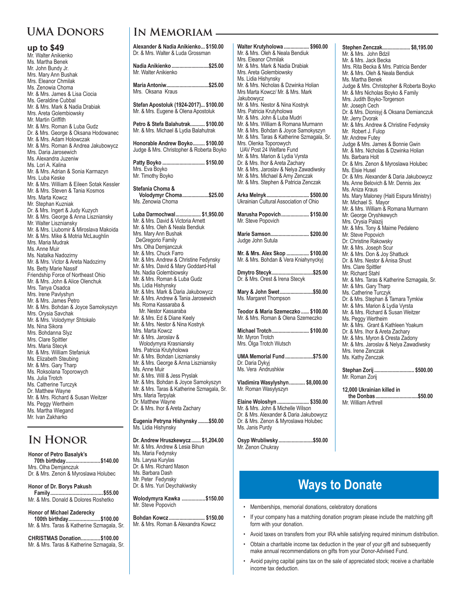### **UMA Donors**

#### **up to \$49**

Mr. Walter Anikienko Ms. Martha Benek Mr. John Bundy Jr. Mrs. Mary Ann Bushak Mrs. Eleanor Chmilak Ms. Zenowia Choma Mr. & Mrs. James & Lisa Ciocia Ms. Geraldine Cubbal Mr. & Mrs. Mark & Nadia Drabiak Mrs. Areta Golembiowsky Mr. Martin Griffith Mr. & Mrs. Roman & Luba Gudz Dr. & Mrs. George & Oksana Hodowanec Mr. & Mrs. Adam Holowczak Mr. & Mrs. Roman & Andrea Jakubowycz Mrs. Daria Jarosewich Ms. Alexandra Juzeniw Ms. Lori A. Kalina Mr. & Mrs. Adrian & Sonia Karmazyn Mrs. Luba Keske Mr. & Mrs. William & Eileen Sotak Kessler Mr. & Mrs. Steven & Tania Kosmos Mrs. Marta Kowcz Mr. Stephan Kuzniak Dr. & Mrs. Ingert & Judy Kuzych Mr. & Mrs. George & Anna Liszniansky Mr. Walter Liszniansky Mr. & Mrs. Liubomir & Miroslava Makoida Mr. & Mrs. Mike & Motria McLaughlin Mrs. Maria Mudrak Ms. Anne Muir Ms. Natalka Nadozirny Mr. & Mrs. Victor & Areta Nadozirny Ms. Betty Marie Nassif Friendship Force of Northeast Ohio Mr. & Mrs. John & Alice Olenchuk Mrs. Tanya Osadca Mrs. Irene Pavlyshyn Mr. & Mrs. James Petro Mr. & Mrs. Bohdan & Joyce Samokyszyn Mrs. Orysia Savchak Mr. & Mrs. Volodymyr Shtokalo Ms. Nina Sikora Mrs. Bohdanna Slyz Mrs. Clare Spittler Mrs. Maria Stecyk Mr. & Mrs. William Stefaniuk Ms. Elizabeth Steubing Mr. & Mrs. Gary Tharp Ms. Roksolana Toporowych Ms. Julia Trotch Ms. Catherine Turczyk Dr. Matthew Wayne Mr. & Mrs. Richard & Susan Weitzer Ms. Peggy Wertheim Ms. Martha Wiegand Mr. Ivan Zakharko

### **In Honor**

**Honor of Petro Basalyk's 70th birthday.........................\$140.00** Mrs. Olha Demjanczuk Dr. & Mrs. Zenon & Myroslawa Holubec

**Honor of Dr. Borys Pakush Family......................................\$55.00** Mr. & Mrs. Donald & Dolores Roshetko

#### **Honor of Michael Zaderecky**

**100th birthday.......................\$100.00** Mr. & Mrs. Taras & Katherine Szmagala, Sr.

#### **CHRISTMAS Donation..............\$100.00** Mr. & Mrs. Taras & Katherine Szmagala, Sr.

### **In Memoriam**

**Alexander & Nadia Anikienko... \$150.00** Dr. & Mrs. Walter & Luda Grossman **Nadia Anikienko............................\$25.00** Mr. Walter Anikienko **Maria Antoniw................................\$25.00** Mrs. Oksana Kraus **Stefan Apostoluk (1924-2017)... \$100.00** Mr. & Mrs. Eugene & Olena Apostoluk **Petro & Stefa Balahutrak........... \$100.00** Mr. & Mrs. Michael & Lydia Balahutrak **Honorable Andrew Boyko......... \$100.00** Judge & Mrs. Christopher & Roberta Boyko **Patty Boyko ................................ \$150.00** Mrs. Eva Boyko Mr. Timothy Boyko **Stefania Choma & Volodymyr Choma....................\$25.00** Ms. Zenowia Choma **Luba Darmochwal................... \$1,950.00** Mr. & Mrs. David & Victoria Arnett Mr. & Mrs. Oleh & Neala Bendiuk Mrs. Mary Ann Bushak DeGregorio Family Mrs. Olha Demjanczuk Mr. & Mrs. Chuck Farro Mr. & Mrs. Andrew & Christine Fedynsky Mr. & Mrs. David & Mary Goddard-Hall Ms. Nadia Golembiowsky Mr. & Mrs. Roman & Luba Gudz Ms. Lidia Hishynsky Mr. & Mrs. Mark & Daria Jakubowycz Mr. & Mrs. Andrew & Tania Jarosewich Ms. Roma Kassaraba & Mr. Nestor Kassaraba Mr. & Mrs. Ed & Diane Keely Mr. & Mrs. Nestor & Nina Kostryk Mrs. Marta Kowcz Mr. & Mrs. Jaroslav & Wolodymyra Krasniansky Mrs. Patricia Krutyholowa Mr. & Mrs. Bohdan Liszniansky Mr. & Mrs. George & Anna Liszniansky Ms. Anne Muir Mr. & Mrs. Will & Jess Pryslak Mr. & Mrs. Bohdan & Joyce Samokyszyn Mr. & Mrs. Taras & Katherine Szmagala, Sr. Mrs. Maria Terpylak Dr. Matthew Wayne Dr. & Mrs. Ihor & Areta Zachary **Eugenia Petryna Hishynsky ........\$50.00** Ms. Lidia Hishynsky **Dr. Andrew Hruszkewycz ....... \$1,204.00** Mr. & Mrs. Andrew & Lesia Bihun Ms. Maria Fedynsky Ms. Larysa Kurylas Dr. & Mrs. Richard Mason Ms. Barbara Dash Mr. Peter Fedynsky

Dr. & Mrs. Yuri Deychakiwsky

**Wolodymyra Kawka .................\$150.00** Mr. Steve Popovich

**Bohdan Kowcz ........................... \$150.00** Mr. & Mrs. Roman & Alexandra Kowcz

**Walter Krutyholowa ................... \$960.00** Mr. & Mrs. Oleh & Neala Bendiuk Mrs. Eleanor Chmilak Mr. & Mrs. Mark & Nadia Drabiak Mrs. Areta Golembiowsky Ms. Lidia Hishynsky Mr. & Mrs. Nicholas & Dzwinka Holian Mrs Marta Kowcz/ Mr. & Mrs. Mark Jakubowycz Mr. & Mrs. Nestor & Nina Kostryk Mrs. Patricia Krutyholowa Mr. & Mrs. John & Luba Mudri Mr. & Mrs. William & Romana Murmann Mr. & Mrs. Bohdan & Joyce Samokyszyn Mr. & Mrs. Taras & Katherine Szmagala, Sr. Mrs. Olenka Toporowych UAV Post 24 Welfare Fund Mr. & Mrs. Marion & Lydia Vyrsta Dr. & Mrs. Ihor & Areta Zachary Mr. & Mrs. Jaroslav & Nelya Zawadiwsky Mr. & Mrs. Michael & Amy Zenczak Mr. & Mrs. Stephen & Patricia Zenczak **Arka Melnyk................................ \$500.00** Ukrainian Cultural Association of Ohio **Marusha Popovich..................... \$150.00** Mr. Steve Popovich **Marie Samson............................. \$200.00** Judge John Sutula **Mr. & Mrs. Alex Skop ................. \$100.00** Mr. & Mrs. Bohdan & Vera Kniahynyckyj **Dmytro Stecyk...............................\$25.00** Dr. & Mrs. Orest & Irena Stecyk **Mary & John Swet.........................\$50.00** Ms. Margaret Thompson **Teodor & Maria Szemeczko ...... \$100.00** Mr. & Mrs. Roman & Olena Szemeczko **Michael Trotch............................ \$100.00** Mr. Myron Trotch Mrs. Ólga Trotch Wutsch **UMA Memorial Fund.....................\$75.00** Dr. Daria Dykyj Ms. Vera Andrushkiw **Vladimira Wasylyshyn............ \$8,000.00** Mr. Roman Wasylyszyn **Elaine Woloshyn ........................ \$350.00** Mr. & Mrs. John & Michelle Wilson

Dr. & Mrs. Alexander & Daria Jakubowycz Dr. & Mrs. Zenon & Myroslawa Holubec Ms. Janis Purdy

**Osyp Wrubliwsky..........................\$50.00** Mr. Zenon Chukray

**Stephen Zenczak..................... \$8,195.00** Mr. & Mrs. John Bdzil Mr. & Mrs. Jack Becka Mrs. Rita Becka & Mrs. Patricia Bender Mr. & Mrs. Oleh & Neala Bendiuk Ms. Martha Benek Judge & Mrs. Christopher & Roberta Boyko Mr. & Mrs Nicholas Boyko & Family Mrs. Judith Boyko-Torgerson Mr. Joseph Cech Dr. & Mrs. Dionisyj & Oksana Demianczuk Mr. Jerry Dvorak Mr. & Mrs. Andrew & Christine Fedynsky Mr. Robert J. Fulop Mr. Andrew Futey Judge & Mrs. James & Bonnie Gwin Mr. & Mrs. Nicholas & Dzwinka Holian Ms. Barbara Holt Dr. & Mrs. Zenon & Myroslawa Holubec Ms. Elsie Husel Dr. & Mrs. Alexander & Daria Jakubowycz Ms. Anne Belovich & Mr. Dennis Jex Ms. Aniza Kraus Ms. Mary Maloney (Haiti Espura Ministry) Mr. Michael S. Mayor Mr. & Mrs. William & Romana Murmann Mr. George Oryshkewych Mrs. Orysia Palazij Mr. & Mrs. Tony & Maime Pedaleno Mr. Steve Popovich Dr. Christine Rakowsky Mr. & Mrs. Joseph Scur Mr. & Mrs. Don & Joy Shattuck Dr. & Mrs. Nestor & Anisa Shust Mrs. Clare Spittler Mr. Richard Stahl Mr. & Mrs. Taras & Katherine Szmagala, Sr. Mr. & Mrs. Gary Tharp Ms. Catherine Turczyk Dr. & Mrs. Stephan & Tamara Tymkiw Mr. & Mrs. Marion & Lydia Vyrsta Mr. & Mrs. Richard & Susan Weitzer Ms. Peggy Wertheim Mr. & Mrs. Grant & Kathleen Yoakum Dr. & Mrs. Ihor & Areta Zachary Mr. & Mrs. Myron & Oresta Zadony Mr. & Mrs. Jaroslav & Nelya Zawadiwsky Mrs. Irene Zenczak Ms. Kathy Zenczak

**Stephan Zorij.............................. \$500.00** Mr. Roman Zorij

**12,000 Ukrainian killed in the Donbas................................\$50.00** Mr. William Arthrell

## **Ways to Donate**

- Memberships, memorial donations, celebratory donations
- If your company has a matching donation program please include the matching gift form with your donation.
- Avoid taxes on transfers from your IRA while satisfying required minimum distribution.
- Obtain a charitable income tax deduction in the year of your gift and subsequently make annual recommendations on gifts from your Donor-Advised Fund.
- Avoid paying capital gains tax on the sale of appreciated stock; receive a charitable income tax deduction.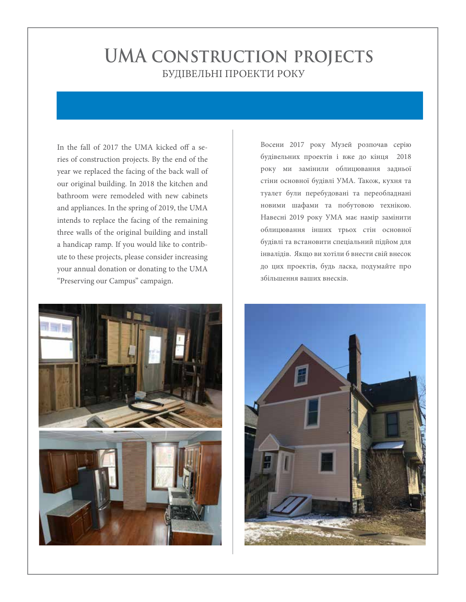# **UMA construction projects** БУДІВЕЛЬНІ ПРОЕКТИ РОКУ

In the fall of 2017 the UMA kicked off a series of construction projects. By the end of the year we replaced the facing of the back wall of our original building. In 2018 the kitchen and bathroom were remodeled with new cabinets and appliances. In the spring of 2019, the UMA intends to replace the facing of the remaining three walls of the original building and install a handicap ramp. If you would like to contribute to these projects, please consider increasing your annual donation or donating to the UMA "Preserving our Campus" campaign.



Восени 2017 року Музей розпочав серію будівельних проектів і вже до кінця 2018 року ми замінили облицювання задньої стіни основної будівлі УМА. Також, кухня та туалет були перебудовані та переобладнані новими шафами та побутовою технікою. Навесні 2019 року УМА має намір замінити облицювання інших трьох стін основної будівлі та встановити спеціальний підйом для інвалідів. Якщо ви хотіли б внести свій внесок до цих проектів, будь ласка, подумайте про збільшення ваших внесків.